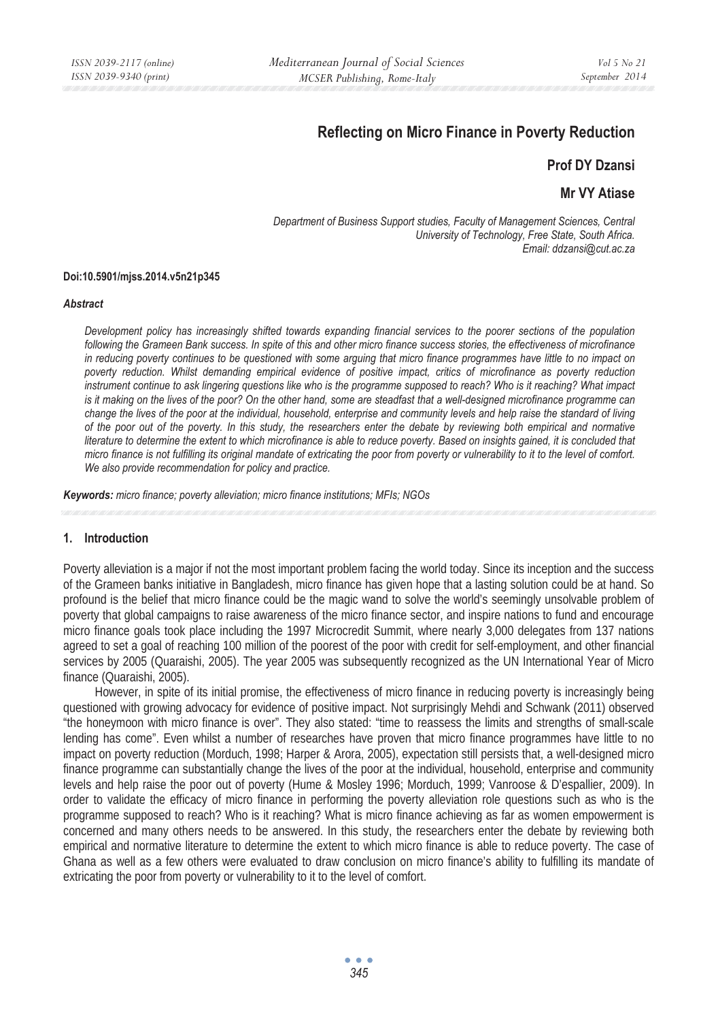# **Reflecting on Micro Finance in Poverty Reduction**

# **Prof DY Dzansi**

# **Mr VY Atiase**

*Department of Business Support studies, Faculty of Management Sciences, Central University of Technology, Free State, South Africa. Email: ddzansi@cut.ac.za* 

#### **Doi:10.5901/mjss.2014.v5n21p345**

#### *Abstract*

*Development policy has increasingly shifted towards expanding financial services to the poorer sections of the population following the Grameen Bank success. In spite of this and other micro finance success stories, the effectiveness of microfinance in reducing poverty continues to be questioned with some arguing that micro finance programmes have little to no impact on*  poverty reduction. Whilst demanding empirical evidence of positive impact, critics of microfinance as poverty reduction *instrument continue to ask lingering questions like who is the programme supposed to reach? Who is it reaching? What impact is it making on the lives of the poor? On the other hand, some are steadfast that a well-designed microfinance programme can change the lives of the poor at the individual, household, enterprise and community levels and help raise the standard of living of the poor out of the poverty. In this study, the researchers enter the debate by reviewing both empirical and normative literature to determine the extent to which microfinance is able to reduce poverty. Based on insights gained, it is concluded that micro finance is not fulfilling its original mandate of extricating the poor from poverty or vulnerability to it to the level of comfort. We also provide recommendation for policy and practice.* 

*Keywords: micro finance; poverty alleviation; micro finance institutions; MFIs; NGOs*

#### **1. Introduction**

Poverty alleviation is a major if not the most important problem facing the world today. Since its inception and the success of the Grameen banks initiative in Bangladesh, micro finance has given hope that a lasting solution could be at hand. So profound is the belief that micro finance could be the magic wand to solve the world's seemingly unsolvable problem of poverty that global campaigns to raise awareness of the micro finance sector, and inspire nations to fund and encourage micro finance goals took place including the 1997 Microcredit Summit, where nearly 3,000 delegates from 137 nations agreed to set a goal of reaching 100 million of the poorest of the poor with credit for self-employment, and other financial services by 2005 (Quaraishi, 2005). The year 2005 was subsequently recognized as the UN International Year of Micro finance (Quaraishi, 2005).

However, in spite of its initial promise, the effectiveness of micro finance in reducing poverty is increasingly being questioned with growing advocacy for evidence of positive impact. Not surprisingly Mehdi and Schwank (2011) observed "the honeymoon with micro finance is over". They also stated: "time to reassess the limits and strengths of small-scale lending has come". Even whilst a number of researches have proven that micro finance programmes have little to no impact on poverty reduction (Morduch, 1998; Harper & Arora, 2005), expectation still persists that, a well-designed micro finance programme can substantially change the lives of the poor at the individual, household, enterprise and community levels and help raise the poor out of poverty (Hume & Mosley 1996; Morduch, 1999; Vanroose & D'espallier, 2009). In order to validate the efficacy of micro finance in performing the poverty alleviation role questions such as who is the programme supposed to reach? Who is it reaching? What is micro finance achieving as far as women empowerment is concerned and many others needs to be answered. In this study, the researchers enter the debate by reviewing both empirical and normative literature to determine the extent to which micro finance is able to reduce poverty. The case of Ghana as well as a few others were evaluated to draw conclusion on micro finance's ability to fulfilling its mandate of extricating the poor from poverty or vulnerability to it to the level of comfort.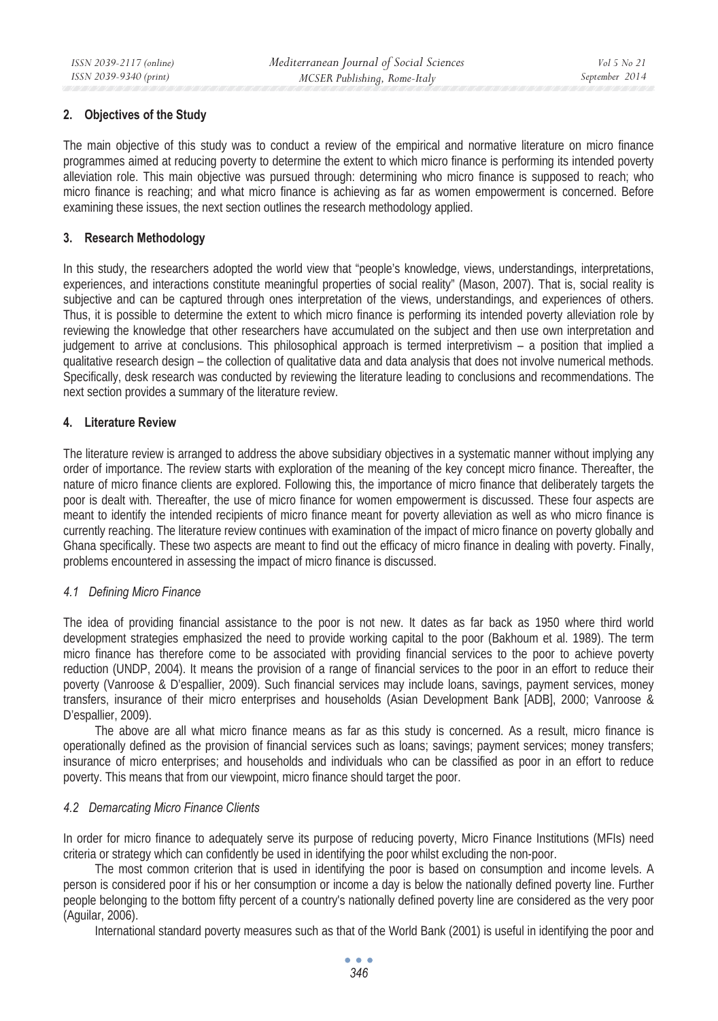# **2. Objectives of the Study**

The main objective of this study was to conduct a review of the empirical and normative literature on micro finance programmes aimed at reducing poverty to determine the extent to which micro finance is performing its intended poverty alleviation role. This main objective was pursued through: determining who micro finance is supposed to reach; who micro finance is reaching; and what micro finance is achieving as far as women empowerment is concerned. Before examining these issues, the next section outlines the research methodology applied.

# **3. Research Methodology**

In this study, the researchers adopted the world view that "people's knowledge, views, understandings, interpretations, experiences, and interactions constitute meaningful properties of social reality" (Mason, 2007). That is, social reality is subjective and can be captured through ones interpretation of the views, understandings, and experiences of others. Thus, it is possible to determine the extent to which micro finance is performing its intended poverty alleviation role by reviewing the knowledge that other researchers have accumulated on the subject and then use own interpretation and judgement to arrive at conclusions. This philosophical approach is termed interpretivism – a position that implied a qualitative research design – the collection of qualitative data and data analysis that does not involve numerical methods. Specifically, desk research was conducted by reviewing the literature leading to conclusions and recommendations. The next section provides a summary of the literature review.

## **4. Literature Review**

The literature review is arranged to address the above subsidiary objectives in a systematic manner without implying any order of importance. The review starts with exploration of the meaning of the key concept micro finance. Thereafter, the nature of micro finance clients are explored. Following this, the importance of micro finance that deliberately targets the poor is dealt with. Thereafter, the use of micro finance for women empowerment is discussed. These four aspects are meant to identify the intended recipients of micro finance meant for poverty alleviation as well as who micro finance is currently reaching. The literature review continues with examination of the impact of micro finance on poverty globally and Ghana specifically. These two aspects are meant to find out the efficacy of micro finance in dealing with poverty. Finally, problems encountered in assessing the impact of micro finance is discussed.

#### *4.1 Defining Micro Finance*

The idea of providing financial assistance to the poor is not new. It dates as far back as 1950 where third world development strategies emphasized the need to provide working capital to the poor (Bakhoum et al. 1989). The term micro finance has therefore come to be associated with providing financial services to the poor to achieve poverty reduction (UNDP, 2004). It means the provision of a range of financial services to the poor in an effort to reduce their poverty (Vanroose & D'espallier, 2009). Such financial services may include loans, savings, payment services, money transfers, insurance of their micro enterprises and households (Asian Development Bank [ADB], 2000; Vanroose & D'espallier, 2009).

The above are all what micro finance means as far as this study is concerned. As a result, micro finance is operationally defined as the provision of financial services such as loans; savings; payment services; money transfers; insurance of micro enterprises; and households and individuals who can be classified as poor in an effort to reduce poverty. This means that from our viewpoint, micro finance should target the poor.

#### *4.2 Demarcating Micro Finance Clients*

In order for micro finance to adequately serve its purpose of reducing poverty, Micro Finance Institutions (MFIs) need criteria or strategy which can confidently be used in identifying the poor whilst excluding the non-poor.

The most common criterion that is used in identifying the poor is based on consumption and income levels. A person is considered poor if his or her consumption or income a day is below the nationally defined poverty line. Further people belonging to the bottom fifty percent of a country's nationally defined poverty line are considered as the very poor (Aguilar, 2006).

International standard poverty measures such as that of the World Bank (2001) is useful in identifying the poor and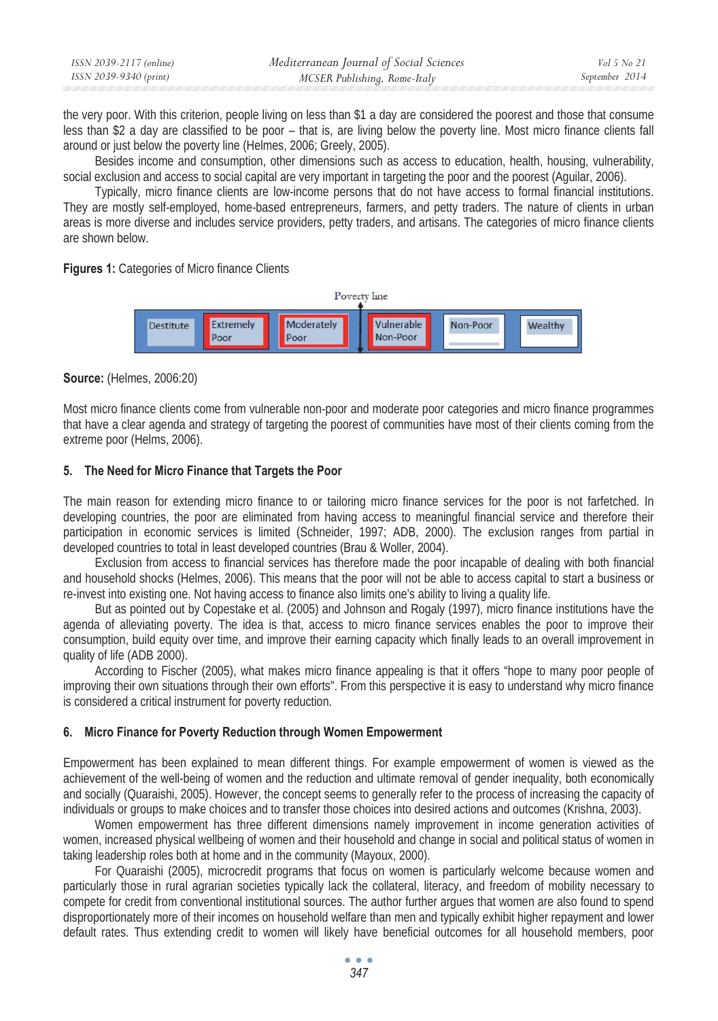| ISSN 2039-2117 (online) | Mediterranean Journal of Social Sciences | Vol 5 No 21    |
|-------------------------|------------------------------------------|----------------|
| ISSN 2039-9340 (print)  | MCSER Publishing, Rome-Italy             | September 2014 |

the very poor. With this criterion, people living on less than \$1 a day are considered the poorest and those that consume less than \$2 a day are classified to be poor – that is, are living below the poverty line. Most micro finance clients fall around or just below the poverty line (Helmes, 2006; Greely, 2005).

Besides income and consumption, other dimensions such as access to education, health, housing, vulnerability, social exclusion and access to social capital are very important in targeting the poor and the poorest (Aguilar, 2006).

Typically, micro finance clients are low-income persons that do not have access to formal financial institutions. They are mostly self-employed, home-based entrepreneurs, farmers, and petty traders. The nature of clients in urban areas is more diverse and includes service providers, petty traders, and artisans. The categories of micro finance clients are shown below.

#### **Figures 1:** Categories of Micro finance Clients



#### **Source:** (Helmes, 2006:20)

Most micro finance clients come from vulnerable non-poor and moderate poor categories and micro finance programmes that have a clear agenda and strategy of targeting the poorest of communities have most of their clients coming from the extreme poor (Helms, 2006).

#### **5. The Need for Micro Finance that Targets the Poor**

The main reason for extending micro finance to or tailoring micro finance services for the poor is not farfetched. In developing countries, the poor are eliminated from having access to meaningful financial service and therefore their participation in economic services is limited (Schneider, 1997; ADB, 2000). The exclusion ranges from partial in developed countries to total in least developed countries (Brau & Woller, 2004).

Exclusion from access to financial services has therefore made the poor incapable of dealing with both financial and household shocks (Helmes, 2006). This means that the poor will not be able to access capital to start a business or re-invest into existing one. Not having access to finance also limits one's ability to living a quality life.

But as pointed out by Copestake et al. (2005) and Johnson and Rogaly (1997), micro finance institutions have the agenda of alleviating poverty. The idea is that, access to micro finance services enables the poor to improve their consumption, build equity over time, and improve their earning capacity which finally leads to an overall improvement in quality of life (ADB 2000).

According to Fischer (2005), what makes micro finance appealing is that it offers "hope to many poor people of improving their own situations through their own efforts". From this perspective it is easy to understand why micro finance is considered a critical instrument for poverty reduction.

#### **6. Micro Finance for Poverty Reduction through Women Empowerment**

Empowerment has been explained to mean different things. For example empowerment of women is viewed as the achievement of the well-being of women and the reduction and ultimate removal of gender inequality, both economically and socially (Quaraishi, 2005). However, the concept seems to generally refer to the process of increasing the capacity of individuals or groups to make choices and to transfer those choices into desired actions and outcomes (Krishna, 2003).

Women empowerment has three different dimensions namely improvement in income generation activities of women, increased physical wellbeing of women and their household and change in social and political status of women in taking leadership roles both at home and in the community (Mayoux, 2000).

For Quaraishi (2005), microcredit programs that focus on women is particularly welcome because women and particularly those in rural agrarian societies typically lack the collateral, literacy, and freedom of mobility necessary to compete for credit from conventional institutional sources. The author further argues that women are also found to spend disproportionately more of their incomes on household welfare than men and typically exhibit higher repayment and lower default rates. Thus extending credit to women will likely have beneficial outcomes for all household members, poor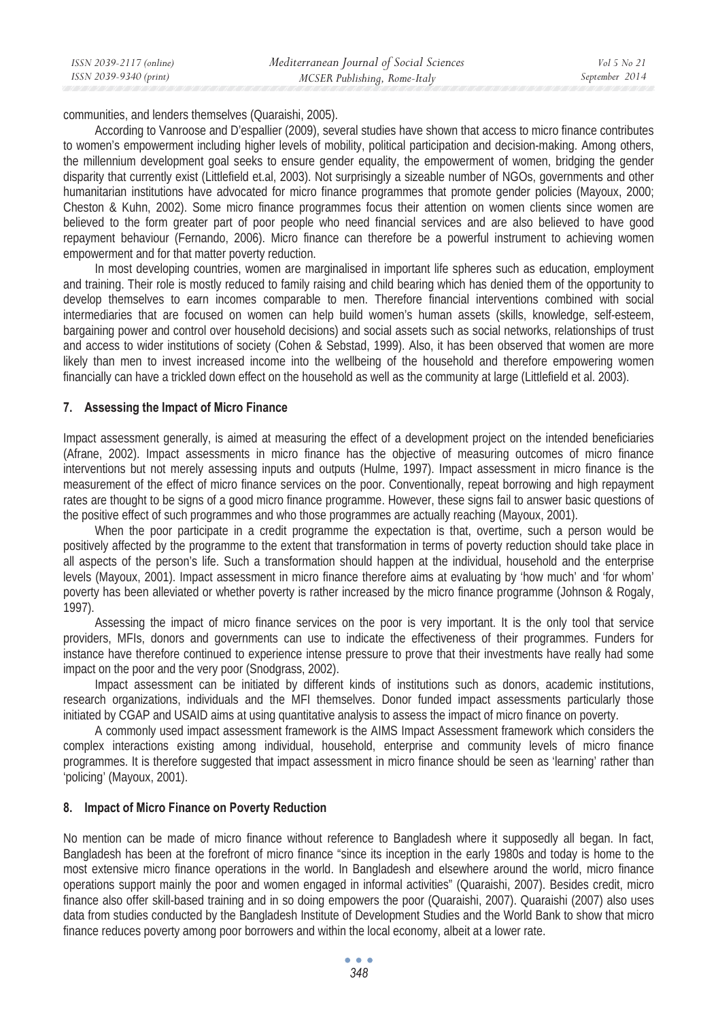communities, and lenders themselves (Quaraishi, 2005).

According to Vanroose and D'espallier (2009), several studies have shown that access to micro finance contributes to women's empowerment including higher levels of mobility, political participation and decision-making. Among others, the millennium development goal seeks to ensure gender equality, the empowerment of women, bridging the gender disparity that currently exist (Littlefield et.al, 2003). Not surprisingly a sizeable number of NGOs, governments and other humanitarian institutions have advocated for micro finance programmes that promote gender policies (Mayoux, 2000; Cheston & Kuhn, 2002). Some micro finance programmes focus their attention on women clients since women are believed to the form greater part of poor people who need financial services and are also believed to have good repayment behaviour (Fernando, 2006). Micro finance can therefore be a powerful instrument to achieving women empowerment and for that matter poverty reduction.

In most developing countries, women are marginalised in important life spheres such as education, employment and training. Their role is mostly reduced to family raising and child bearing which has denied them of the opportunity to develop themselves to earn incomes comparable to men. Therefore financial interventions combined with social intermediaries that are focused on women can help build women's human assets (skills, knowledge, self-esteem, bargaining power and control over household decisions) and social assets such as social networks, relationships of trust and access to wider institutions of society (Cohen & Sebstad, 1999). Also, it has been observed that women are more likely than men to invest increased income into the wellbeing of the household and therefore empowering women financially can have a trickled down effect on the household as well as the community at large (Littlefield et al. 2003).

## **7. Assessing the Impact of Micro Finance**

Impact assessment generally, is aimed at measuring the effect of a development project on the intended beneficiaries (Afrane, 2002). Impact assessments in micro finance has the objective of measuring outcomes of micro finance interventions but not merely assessing inputs and outputs (Hulme, 1997). Impact assessment in micro finance is the measurement of the effect of micro finance services on the poor. Conventionally, repeat borrowing and high repayment rates are thought to be signs of a good micro finance programme. However, these signs fail to answer basic questions of the positive effect of such programmes and who those programmes are actually reaching (Mayoux, 2001).

When the poor participate in a credit programme the expectation is that, overtime, such a person would be positively affected by the programme to the extent that transformation in terms of poverty reduction should take place in all aspects of the person's life. Such a transformation should happen at the individual, household and the enterprise levels (Mayoux, 2001). Impact assessment in micro finance therefore aims at evaluating by 'how much' and 'for whom' poverty has been alleviated or whether poverty is rather increased by the micro finance programme (Johnson & Rogaly, 1997).

Assessing the impact of micro finance services on the poor is very important. It is the only tool that service providers, MFIs, donors and governments can use to indicate the effectiveness of their programmes. Funders for instance have therefore continued to experience intense pressure to prove that their investments have really had some impact on the poor and the very poor (Snodgrass, 2002).

Impact assessment can be initiated by different kinds of institutions such as donors, academic institutions, research organizations, individuals and the MFI themselves. Donor funded impact assessments particularly those initiated by CGAP and USAID aims at using quantitative analysis to assess the impact of micro finance on poverty.

A commonly used impact assessment framework is the AIMS Impact Assessment framework which considers the complex interactions existing among individual, household, enterprise and community levels of micro finance programmes. It is therefore suggested that impact assessment in micro finance should be seen as 'learning' rather than 'policing' (Mayoux, 2001).

#### **8. Impact of Micro Finance on Poverty Reduction**

No mention can be made of micro finance without reference to Bangladesh where it supposedly all began. In fact, Bangladesh has been at the forefront of micro finance "since its inception in the early 1980s and today is home to the most extensive micro finance operations in the world. In Bangladesh and elsewhere around the world, micro finance operations support mainly the poor and women engaged in informal activities" (Quaraishi, 2007). Besides credit, micro finance also offer skill-based training and in so doing empowers the poor (Quaraishi, 2007). Quaraishi (2007) also uses data from studies conducted by the Bangladesh Institute of Development Studies and the World Bank to show that micro finance reduces poverty among poor borrowers and within the local economy, albeit at a lower rate.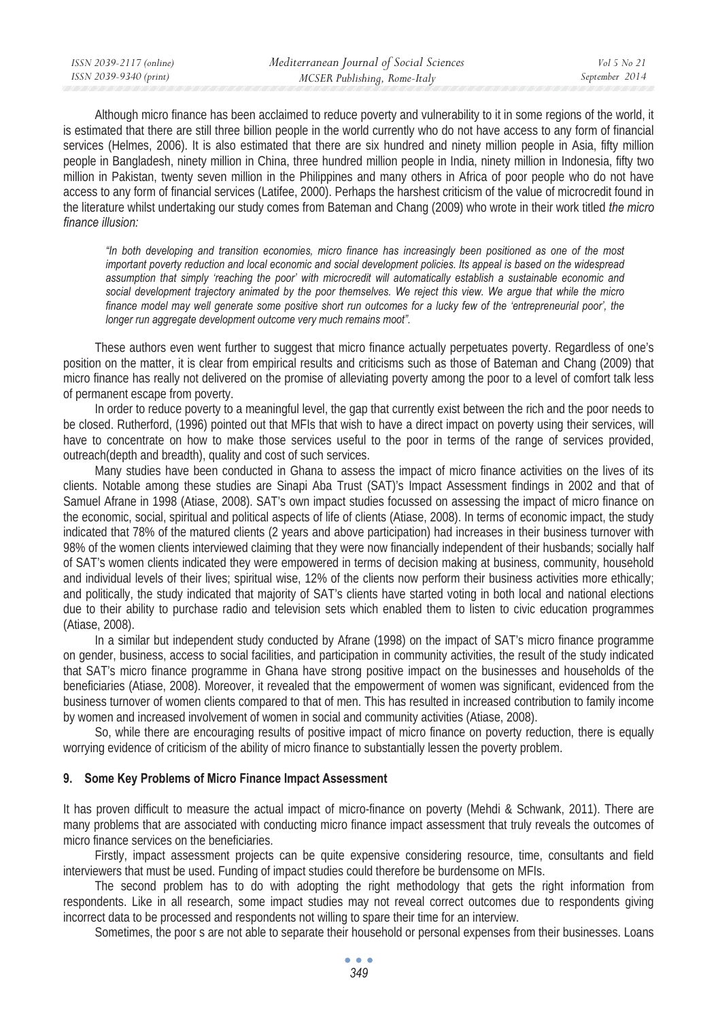Although micro finance has been acclaimed to reduce poverty and vulnerability to it in some regions of the world, it is estimated that there are still three billion people in the world currently who do not have access to any form of financial services (Helmes, 2006). It is also estimated that there are six hundred and ninety million people in Asia, fifty million people in Bangladesh, ninety million in China, three hundred million people in India, ninety million in Indonesia, fifty two million in Pakistan, twenty seven million in the Philippines and many others in Africa of poor people who do not have access to any form of financial services (Latifee, 2000). Perhaps the harshest criticism of the value of microcredit found in the literature whilst undertaking our study comes from Bateman and Chang (2009) who wrote in their work titled *the micro finance illusion:*

*"In both developing and transition economies, micro finance has increasingly been positioned as one of the most important poverty reduction and local economic and social development policies. Its appeal is based on the widespread assumption that simply 'reaching the poor' with microcredit will automatically establish a sustainable economic and social development trajectory animated by the poor themselves. We reject this view. We argue that while the micro*  finance model may well generate some positive short run outcomes for a lucky few of the 'entrepreneurial poor', the *longer run aggregate development outcome very much remains moot".* 

These authors even went further to suggest that micro finance actually perpetuates poverty. Regardless of one's position on the matter, it is clear from empirical results and criticisms such as those of Bateman and Chang (2009) that micro finance has really not delivered on the promise of alleviating poverty among the poor to a level of comfort talk less of permanent escape from poverty.

In order to reduce poverty to a meaningful level, the gap that currently exist between the rich and the poor needs to be closed. Rutherford, (1996) pointed out that MFIs that wish to have a direct impact on poverty using their services, will have to concentrate on how to make those services useful to the poor in terms of the range of services provided, outreach(depth and breadth), quality and cost of such services.

Many studies have been conducted in Ghana to assess the impact of micro finance activities on the lives of its clients. Notable among these studies are Sinapi Aba Trust (SAT)'s Impact Assessment findings in 2002 and that of Samuel Afrane in 1998 (Atiase, 2008). SAT's own impact studies focussed on assessing the impact of micro finance on the economic, social, spiritual and political aspects of life of clients (Atiase, 2008). In terms of economic impact, the study indicated that 78% of the matured clients (2 years and above participation) had increases in their business turnover with 98% of the women clients interviewed claiming that they were now financially independent of their husbands; socially half of SAT's women clients indicated they were empowered in terms of decision making at business, community, household and individual levels of their lives; spiritual wise, 12% of the clients now perform their business activities more ethically; and politically, the study indicated that majority of SAT's clients have started voting in both local and national elections due to their ability to purchase radio and television sets which enabled them to listen to civic education programmes (Atiase, 2008).

In a similar but independent study conducted by Afrane (1998) on the impact of SAT's micro finance programme on gender, business, access to social facilities, and participation in community activities, the result of the study indicated that SAT's micro finance programme in Ghana have strong positive impact on the businesses and households of the beneficiaries (Atiase, 2008). Moreover, it revealed that the empowerment of women was significant, evidenced from the business turnover of women clients compared to that of men. This has resulted in increased contribution to family income by women and increased involvement of women in social and community activities (Atiase, 2008).

So, while there are encouraging results of positive impact of micro finance on poverty reduction, there is equally worrying evidence of criticism of the ability of micro finance to substantially lessen the poverty problem.

#### **9. Some Key Problems of Micro Finance Impact Assessment**

It has proven difficult to measure the actual impact of micro-finance on poverty (Mehdi & Schwank, 2011). There are many problems that are associated with conducting micro finance impact assessment that truly reveals the outcomes of micro finance services on the beneficiaries.

Firstly, impact assessment projects can be quite expensive considering resource, time, consultants and field interviewers that must be used. Funding of impact studies could therefore be burdensome on MFIs.

The second problem has to do with adopting the right methodology that gets the right information from respondents. Like in all research, some impact studies may not reveal correct outcomes due to respondents giving incorrect data to be processed and respondents not willing to spare their time for an interview.

Sometimes, the poor s are not able to separate their household or personal expenses from their businesses. Loans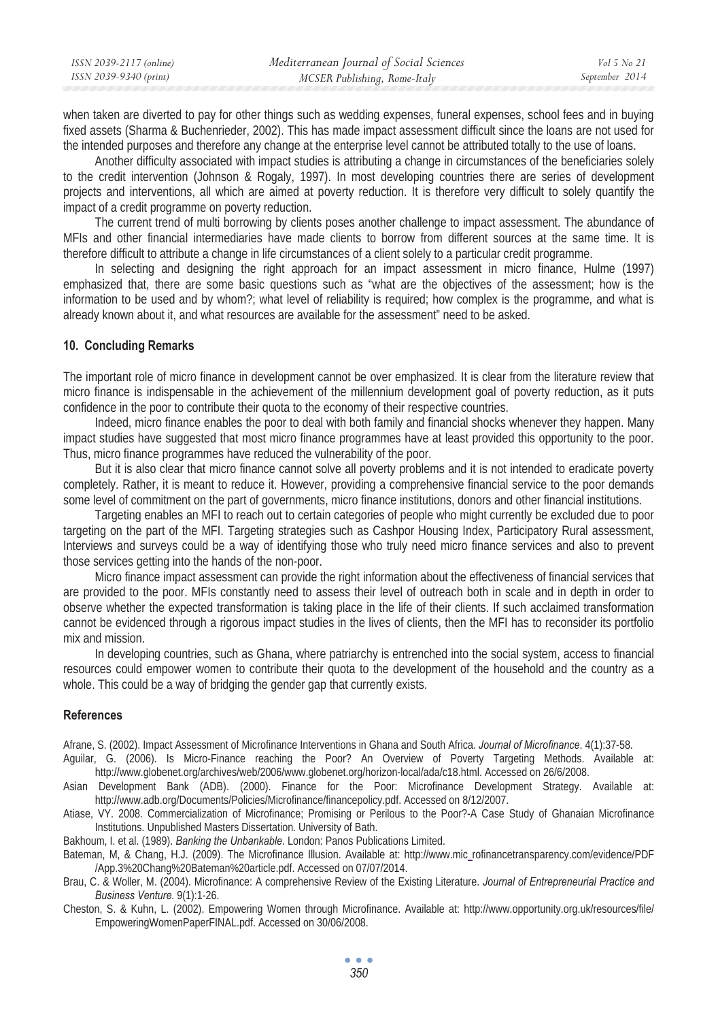| ISSN 2039-2117 (online) | Mediterranean Journal of Social Sciences | Vol 5 No 21    |
|-------------------------|------------------------------------------|----------------|
| ISSN 2039-9340 (print)  | MCSER Publishing, Rome-Italy             | September 2014 |
|                         |                                          |                |

when taken are diverted to pay for other things such as wedding expenses, funeral expenses, school fees and in buying fixed assets (Sharma & Buchenrieder, 2002). This has made impact assessment difficult since the loans are not used for the intended purposes and therefore any change at the enterprise level cannot be attributed totally to the use of loans.

Another difficulty associated with impact studies is attributing a change in circumstances of the beneficiaries solely to the credit intervention (Johnson & Rogaly, 1997). In most developing countries there are series of development projects and interventions, all which are aimed at poverty reduction. It is therefore very difficult to solely quantify the impact of a credit programme on poverty reduction.

The current trend of multi borrowing by clients poses another challenge to impact assessment. The abundance of MFIs and other financial intermediaries have made clients to borrow from different sources at the same time. It is therefore difficult to attribute a change in life circumstances of a client solely to a particular credit programme.

In selecting and designing the right approach for an impact assessment in micro finance, Hulme (1997) emphasized that, there are some basic questions such as "what are the objectives of the assessment; how is the information to be used and by whom?; what level of reliability is required; how complex is the programme, and what is already known about it, and what resources are available for the assessment" need to be asked.

#### **10. Concluding Remarks**

The important role of micro finance in development cannot be over emphasized. It is clear from the literature review that micro finance is indispensable in the achievement of the millennium development goal of poverty reduction, as it puts confidence in the poor to contribute their quota to the economy of their respective countries.

Indeed, micro finance enables the poor to deal with both family and financial shocks whenever they happen. Many impact studies have suggested that most micro finance programmes have at least provided this opportunity to the poor. Thus, micro finance programmes have reduced the vulnerability of the poor.

But it is also clear that micro finance cannot solve all poverty problems and it is not intended to eradicate poverty completely. Rather, it is meant to reduce it. However, providing a comprehensive financial service to the poor demands some level of commitment on the part of governments, micro finance institutions, donors and other financial institutions.

Targeting enables an MFI to reach out to certain categories of people who might currently be excluded due to poor targeting on the part of the MFI. Targeting strategies such as Cashpor Housing Index, Participatory Rural assessment, Interviews and surveys could be a way of identifying those who truly need micro finance services and also to prevent those services getting into the hands of the non-poor.

Micro finance impact assessment can provide the right information about the effectiveness of financial services that are provided to the poor. MFIs constantly need to assess their level of outreach both in scale and in depth in order to observe whether the expected transformation is taking place in the life of their clients. If such acclaimed transformation cannot be evidenced through a rigorous impact studies in the lives of clients, then the MFI has to reconsider its portfolio mix and mission.

In developing countries, such as Ghana, where patriarchy is entrenched into the social system, access to financial resources could empower women to contribute their quota to the development of the household and the country as a whole. This could be a way of bridging the gender gap that currently exists.

#### **References**

Afrane, S. (2002). Impact Assessment of Microfinance Interventions in Ghana and South Africa. *Journal of Microfinance*. 4(1):37-58. Aguilar, G. (2006). Is Micro-Finance reaching the Poor? An Overview of Poverty Targeting Methods. Available at:

http://www.globenet.org/archives/web/2006/www.globenet.org/horizon-local/ada/c18.html. Accessed on 26/6/2008.

Asian Development Bank (ADB). (2000). Finance for the Poor: Microfinance Development Strategy. Available at: http://www.adb.org/Documents/Policies/Microfinance/financepolicy.pdf. Accessed on 8/12/2007.

Atiase, VY. 2008. Commercialization of Microfinance; Promising or Perilous to the Poor?-A Case Study of Ghanaian Microfinance Institutions. Unpublished Masters Dissertation. University of Bath.

Bakhoum, I. et al. (1989). *Banking the Unbankable*. London: Panos Publications Limited.

Bateman, M, & Chang, H.J. (2009). The Microfinance Illusion. Available at: http://www.mic rofinancetransparency.com/evidence/PDF /App.3%20Chang%20Bateman%20article.pdf. Accessed on 07/07/2014.

Brau, C. & Woller, M. (2004). Microfinance: A comprehensive Review of the Existing Literature. *Journal of Entrepreneurial Practice and Business Venture.* 9(1):1-26.

Cheston, S. & Kuhn, L. (2002). Empowering Women through Microfinance. Available at: http://www.opportunity.org.uk/resources/file/ EmpoweringWomenPaperFINAL.pdf. Accessed on 30/06/2008.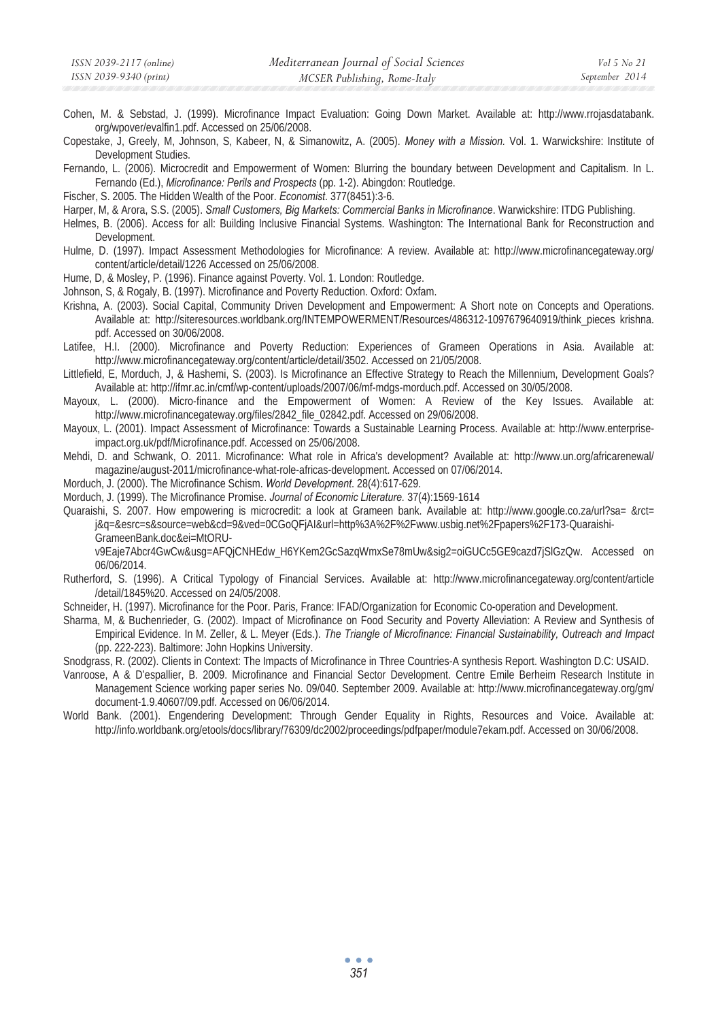- Cohen, M. & Sebstad, J. (1999). Microfinance Impact Evaluation: Going Down Market. Available at: http://www.rrojasdatabank. org/wpover/evalfin1.pdf. Accessed on 25/06/2008.
- Copestake, J, Greely, M, Johnson, S, Kabeer, N, & Simanowitz, A. (2005). *Money with a Mission.* Vol. 1. Warwickshire: Institute of Development Studies.
- Fernando, L. (2006). Microcredit and Empowerment of Women: Blurring the boundary between Development and Capitalism. In L. Fernando (Ed.), *Microfinance: Perils and Prospects* (pp. 1-2). Abingdon: Routledge.
- Fischer, S. 2005. The Hidden Wealth of the Poor. *Economist*. 377(8451):3-6.
- Harper, M, & Arora, S.S. (2005). *Small Customers, Big Markets: Commercial Banks in Microfinance*. Warwickshire: ITDG Publishing.
- Helmes, B. (2006). Access for all: Building Inclusive Financial Systems. Washington: The International Bank for Reconstruction and Development.
- Hulme, D. (1997). Impact Assessment Methodologies for Microfinance: A review. Available at: http://www.microfinancegateway.org/ content/article/detail/1226 Accessed on 25/06/2008.
- Hume, D, & Mosley, P. (1996). Finance against Poverty. Vol. 1. London: Routledge.
- Johnson, S, & Rogaly, B. (1997). Microfinance and Poverty Reduction. Oxford: Oxfam.
- Krishna, A. (2003). Social Capital, Community Driven Development and Empowerment: A Short note on Concepts and Operations. Available at: http://siteresources.worldbank.org/INTEMPOWERMENT/Resources/486312-1097679640919/think\_pieces krishna. pdf. Accessed on 30/06/2008.
- Latifee, H.I. (2000). Microfinance and Poverty Reduction: Experiences of Grameen Operations in Asia. Available at: http://www.microfinancegateway.org/content/article/detail/3502. Accessed on 21/05/2008.
- Littlefield, E, Morduch, J, & Hashemi, S. (2003). Is Microfinance an Effective Strategy to Reach the Millennium, Development Goals? Available at: http://ifmr.ac.in/cmf/wp-content/uploads/2007/06/mf-mdgs-morduch.pdf. Accessed on 30/05/2008.
- Mayoux, L. (2000). Micro-finance and the Empowerment of Women: A Review of the Key Issues. Available at: http://www.microfinancegateway.org/files/2842\_file\_02842.pdf. Accessed on 29/06/2008.
- Mayoux, L. (2001). Impact Assessment of Microfinance: Towards a Sustainable Learning Process. Available at: http://www.enterpriseimpact.org.uk/pdf/Microfinance.pdf. Accessed on 25/06/2008.
- Mehdi, D. and Schwank, O. 2011. Microfinance: What role in Africa's development? Available at: http://www.un.org/africarenewal/ magazine/august-2011/microfinance-what-role-africas-development. Accessed on 07/06/2014.
- Morduch, J. (2000). The Microfinance Schism. *World Development*. 28(4):617-629.
- Morduch, J. (1999). The Microfinance Promise. *Journal of Economic Literature.* 37(4):1569-1614
- Quaraishi, S. 2007. How empowering is microcredit: a look at Grameen bank. Available at: http://www.google.co.za/url?sa= &rct= j&q=&esrc=s&source=web&cd=9&ved=0CGoQFjAI&url=http%3A%2F%2Fwww.usbig.net%2Fpapers%2F173-Quaraishi-GrameenBank.doc&ei=MtORU-

v9Eaje7Abcr4GwCw&usg=AFQjCNHEdw\_H6YKem2GcSazqWmxSe78mUw&sig2=oiGUCc5GE9cazd7jSlGzQw. Accessed on 06/06/2014.

- Rutherford, S. (1996). A Critical Typology of Financial Services. Available at: http://www.microfinancegateway.org/content/article /detail/1845%20. Accessed on 24/05/2008.
- Schneider, H. (1997). Microfinance for the Poor. Paris, France: IFAD/Organization for Economic Co-operation and Development.
- Sharma, M, & Buchenrieder, G. (2002). Impact of Microfinance on Food Security and Poverty Alleviation: A Review and Synthesis of Empirical Evidence. In M. Zeller, & L. Meyer (Eds.). *The Triangle of Microfinance: Financial Sustainability, Outreach and Impact* (pp. 222-223). Baltimore: John Hopkins University.
- Snodgrass, R. (2002). Clients in Context: The Impacts of Microfinance in Three Countries-A synthesis Report. Washington D.C: USAID.
- Vanroose, A & D'espallier, B. 2009. Microfinance and Financial Sector Development. Centre Emile Berheim Research Institute in Management Science working paper series No. 09/040. September 2009. Available at: http://www.microfinancegateway.org/gm/ document-1.9.40607/09.pdf. Accessed on 06/06/2014.
- World Bank. (2001). Engendering Development: Through Gender Equality in Rights, Resources and Voice. Available at: http://info.worldbank.org/etools/docs/library/76309/dc2002/proceedings/pdfpaper/module7ekam.pdf. Accessed on 30/06/2008.